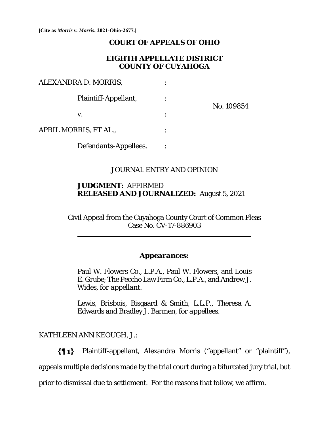**[Cite as** *Morris v. Morris***, 2021-Ohio-2677.]**

### **COURT OF APPEALS OF OHIO**

## **EIGHTH APPELLATE DISTRICT COUNTY OF CUYAHOGA**

| ALEXANDRA D. MORRIS,  |                       |            |
|-----------------------|-----------------------|------------|
|                       | Plaintiff-Appellant,  | No. 109854 |
|                       | V.                    |            |
| APRIL MORRIS, ET AL., |                       |            |
|                       | Defendants-Appellees. |            |

## JOURNAL ENTRY AND OPINION

## **JUDGMENT:** AFFIRMED **RELEASED AND JOURNALIZED:** August 5, 2021

Civil Appeal from the Cuyahoga County Court of Common Pleas Case No. CV-17-886903

#### *Appearances:*

Paul W. Flowers Co., L.P.A., Paul W. Flowers, and Louis E. Grube; The Peccho Law Firm Co., L.P.A., and Andrew J. Wides, *for appellant.*

Lewis, Brisbois, Bisgaard & Smith, L.L.P., Theresa A. Edwards and Bradley J. Barmen, *for appellees*.

KATHLEEN ANN KEOUGH, J.:

 $\overline{a}$ 

 $\overline{a}$ 

Plaintiff-appellant, Alexandra Morris ("appellant" or "plaintiff"),

appeals multiple decisions made by the trial court during a bifurcated jury trial, but

prior to dismissal due to settlement. For the reasons that follow, we affirm.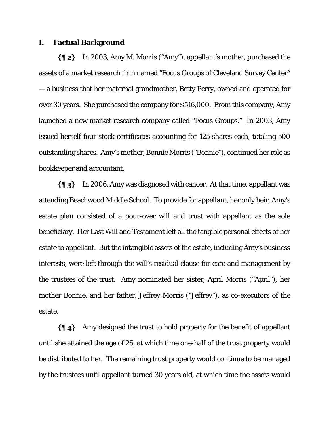#### **I. Factual Background**

In 2003, Amy M. Morris ("Amy"), appellant's mother, purchased the assets of a market research firm named "Focus Groups of Cleveland Survey Center" — a business that her maternal grandmother, Betty Perry, owned and operated for over 30 years. She purchased the company for \$516,000. From this company, Amy launched a new market research company called "Focus Groups." In 2003, Amy issued herself four stock certificates accounting for 125 shares each, totaling 500 outstanding shares. Amy's mother, Bonnie Morris ("Bonnie"), continued her role as bookkeeper and accountant.

 $\{ \P_3 \}$ In 2006, Amy was diagnosed with cancer. At that time, appellant was attending Beachwood Middle School. To provide for appellant, her only heir, Amy's estate plan consisted of a pour-over will and trust with appellant as the sole beneficiary. Her Last Will and Testament left all the tangible personal effects of her estate to appellant. But the intangible assets of the estate, including Amy's business interests, were left through the will's residual clause for care and management by the trustees of the trust. Amy nominated her sister, April Morris ("April"), her mother Bonnie, and her father, Jeffrey Morris ("Jeffrey"), as co-executors of the estate.

 $\{\P_4\}$  Amy designed the trust to hold property for the benefit of appellant until she attained the age of 25, at which time one-half of the trust property would be distributed to her. The remaining trust property would continue to be managed by the trustees until appellant turned 30 years old, at which time the assets would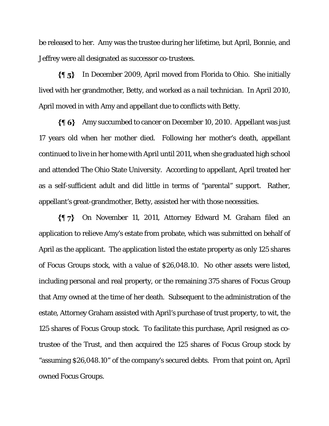be released to her. Amy was the trustee during her lifetime, but April, Bonnie, and Jeffrey were all designated as successor co-trustees.

 $\{ \P 5 \}$ In December 2009, April moved from Florida to Ohio. She initially lived with her grandmother, Betty, and worked as a nail technician. In April 2010, April moved in with Amy and appellant due to conflicts with Betty.

Amy succumbed to cancer on December 10, 2010. Appellant was just 17 years old when her mother died. Following her mother's death, appellant continued to live in her home with April until 2011, when she graduated high school and attended The Ohio State University. According to appellant, April treated her as a self-sufficient adult and did little in terms of "parental" support. Rather, appellant's great-grandmother, Betty, assisted her with those necessities.

 $\{ \eta_7 \}$ On November 11, 2011, Attorney Edward M. Graham filed an application to relieve Amy's estate from probate, which was submitted on behalf of April as the applicant. The application listed the estate property as only 125 shares of Focus Groups stock, with a value of \$26,048.10. No other assets were listed, including personal and real property, or the remaining 375 shares of Focus Group that Amy owned at the time of her death. Subsequent to the administration of the estate, Attorney Graham assisted with April's purchase of trust property, to wit, the 125 shares of Focus Group stock. To facilitate this purchase, April resigned as cotrustee of the Trust, and then acquired the 125 shares of Focus Group stock by "assuming \$26,048.10" of the company's secured debts. From that point on, April owned Focus Groups.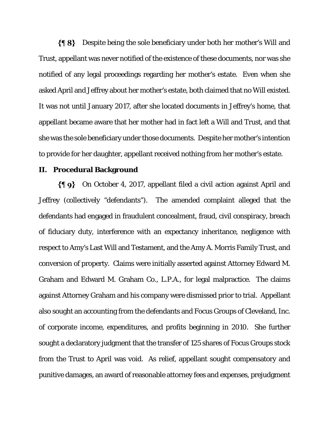Despite being the sole beneficiary under both her mother's Will and Trust, appellant was never notified of the existence of these documents, nor was she notified of any legal proceedings regarding her mother's estate. Even when she asked April and Jeffrey about her mother's estate, both claimed that no Will existed. It was not until January 2017, after she located documents in Jeffrey's home, that appellant became aware that her mother had in fact left a Will and Trust, and that she was the sole beneficiary under those documents. Despite her mother's intention to provide for her daughter, appellant received nothing from her mother's estate.

#### **II. Procedural Background**

On October 4, 2017, appellant filed a civil action against April and Jeffrey (collectively "defendants"). The amended complaint alleged that the defendants had engaged in fraudulent concealment, fraud, civil conspiracy, breach of fiduciary duty, interference with an expectancy inheritance, negligence with respect to Amy's Last Will and Testament, and the Amy A. Morris Family Trust, and conversion of property. Claims were initially asserted against Attorney Edward M. Graham and Edward M. Graham Co., L.P.A., for legal malpractice. The claims against Attorney Graham and his company were dismissed prior to trial. Appellant also sought an accounting from the defendants and Focus Groups of Cleveland, Inc. of corporate income, expenditures, and profits beginning in 2010. She further sought a declaratory judgment that the transfer of 125 shares of Focus Groups stock from the Trust to April was void. As relief, appellant sought compensatory and punitive damages, an award of reasonable attorney fees and expenses, prejudgment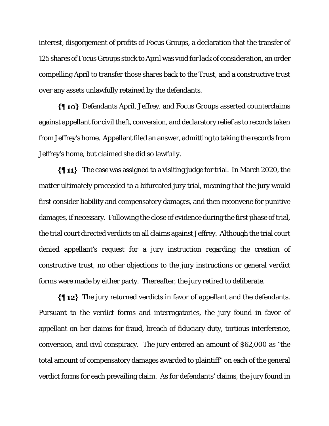interest, disgorgement of profits of Focus Groups, a declaration that the transfer of 125 shares of Focus Groups stock to April was void for lack of consideration, an order compelling April to transfer those shares back to the Trust, and a constructive trust over any assets unlawfully retained by the defendants.

Defendants April, Jeffrey, and Focus Groups asserted counterclaims against appellant for civil theft, conversion, and declaratory relief as to records taken from Jeffrey's home. Appellant filed an answer, admitting to taking the records from Jeffrey's home, but claimed she did so lawfully.

 $\{\P 11\}$  The case was assigned to a visiting judge for trial. In March 2020, the matter ultimately proceeded to a bifurcated jury trial, meaning that the jury would first consider liability and compensatory damages, and then reconvene for punitive damages, if necessary. Following the close of evidence during the first phase of trial, the trial court directed verdicts on all claims against Jeffrey. Although the trial court denied appellant's request for a jury instruction regarding the creation of constructive trust, no other objections to the jury instructions or general verdict forms were made by either party. Thereafter, the jury retired to deliberate.

 $\{\P 12\}$  The jury returned verdicts in favor of appellant and the defendants. Pursuant to the verdict forms and interrogatories, the jury found in favor of appellant on her claims for fraud, breach of fiduciary duty, tortious interference, conversion, and civil conspiracy. The jury entered an amount of \$62,000 as "the total amount of compensatory damages awarded to plaintiff" on each of the general verdict forms for each prevailing claim. As for defendants' claims, the jury found in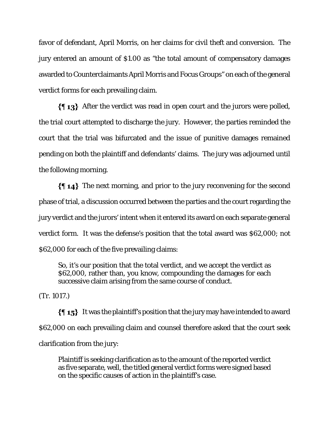favor of defendant, April Morris, on her claims for civil theft and conversion. The jury entered an amount of \$1.00 as "the total amount of compensatory damages awarded to Counterclaimants April Morris and Focus Groups" on each of the general verdict forms for each prevailing claim.

 $\{\P 13\}$  After the verdict was read in open court and the jurors were polled, the trial court attempted to discharge the jury. However, the parties reminded the court that the trial was bifurcated and the issue of punitive damages remained pending on both the plaintiff and defendants' claims. The jury was adjourned until the following morning.

 $\{\{\,\,\,\,\,\}\}$  The next morning, and prior to the jury reconvening for the second phase of trial, a discussion occurred between the parties and the court regarding the jury verdict and the jurors' intent when it entered its award on each separate general verdict form. It was the defense's position that the total award was \$62,000; not \$62,000 for each of the five prevailing claims:

So, it's our position that the total verdict, and we accept the verdict as \$62,000, rather than, you know, compounding the damages for each successive claim arising from the same course of conduct.

(Tr. 1017.)

 $\{\{\,\,\,\,\,\,\}\}$  It was the plaintiff's position that the jury may have intended to award \$62,000 on each prevailing claim and counsel therefore asked that the court seek clarification from the jury:

Plaintiff is seeking clarification as to the amount of the reported verdict as five separate, well, the titled general verdict forms were signed based on the specific causes of action in the plaintiff's case.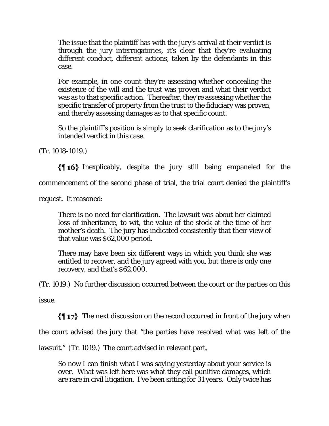The issue that the plaintiff has with the jury's arrival at their verdict is through the jury interrogatories, it's clear that they're evaluating different conduct, different actions, taken by the defendants in this case.

For example, in one count they're assessing whether concealing the existence of the will and the trust was proven and what their verdict was as to that specific action. Thereafter, they're assessing whether the specific transfer of property from the trust to the fiduciary was proven, and thereby assessing damages as to that specific count.

So the plaintiff's position is simply to seek clarification as to the jury's intended verdict in this case.

(Tr. 1018-1019.)

Inexplicably, despite the jury still being empaneled for the

commencement of the second phase of trial, the trial court denied the plaintiff's

request. It reasoned:

There is no need for clarification. The lawsuit was about her claimed loss of inheritance, to wit, the value of the stock at the time of her mother's death. The jury has indicated consistently that their view of that value was \$62,000 period.

There may have been six different ways in which you think she was entitled to recover, and the jury agreed with you, but there is only one recovery, and that's \$62,000.

(Tr. 1019.) No further discussion occurred between the court or the parties on this

issue.

 $\{\P 17\}$  The next discussion on the record occurred in front of the jury when

the court advised the jury that "the parties have resolved what was left of the

lawsuit." (Tr. 1019.) The court advised in relevant part,

So now I can finish what I was saying yesterday about your service is over. What was left here was what they call punitive damages, which are rare in civil litigation. I've been sitting for 31 years. Only twice has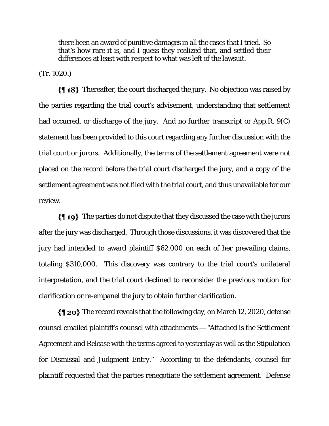there been an award of punitive damages in all the cases that I tried. So that's how rare it is, and I guess they realized that, and settled their differences at least with respect to what was left of the lawsuit.

(Tr. 1020.)

Thereafter, the court discharged the jury. No objection was raised by the parties regarding the trial court's advisement, understanding that settlement had occurred, or discharge of the jury. And no further transcript or App.R. 9(C) statement has been provided to this court regarding any further discussion with the trial court or jurors. Additionally, the terms of the settlement agreement were not placed on the record before the trial court discharged the jury, and a copy of the settlement agreement was not filed with the trial court, and thus unavailable for our review.

 $\{\P_1\}$  The parties do not dispute that they discussed the case with the jurors after the jury was discharged. Through those discussions, it was discovered that the jury had intended to award plaintiff \$62,000 on each of her prevailing claims, totaling \$310,000. This discovery was contrary to the trial court's unilateral interpretation, and the trial court declined to reconsider the previous motion for clarification or re-empanel the jury to obtain further clarification.

 $\{\P$  20} The record reveals that the following day, on March 12, 2020, defense counsel emailed plaintiff's counsel with attachments — "Attached is the Settlement Agreement and Release with the terms agreed to yesterday as well as the Stipulation for Dismissal and Judgment Entry." According to the defendants, counsel for plaintiff requested that the parties renegotiate the settlement agreement. Defense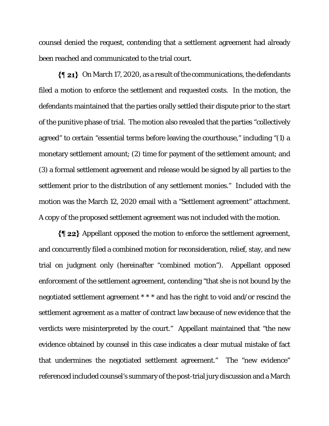counsel denied the request, contending that a settlement agreement had already been reached and communicated to the trial court.

 $\{\P_21\}$  On March 17, 2020, as a result of the communications, the defendants filed a motion to enforce the settlement and requested costs. In the motion, the defendants maintained that the parties orally settled their dispute prior to the start of the punitive phase of trial. The motion also revealed that the parties "collectively agreed" to certain "essential terms before leaving the courthouse," including "(1) a monetary settlement amount; (2) time for payment of the settlement amount; and (3) a formal settlement agreement and release would be signed by all parties to the settlement prior to the distribution of any settlement monies." Included with the motion was the March 12, 2020 email with a "Settlement agreement" attachment. A copy of the proposed settlement agreement was not included with the motion.

 $\{\P 22\}$  Appellant opposed the motion to enforce the settlement agreement, and concurrently filed a combined motion for reconsideration, relief, stay, and new trial on judgment only (hereinafter "combined motion"). Appellant opposed enforcement of the settlement agreement, contending "that she is not bound by the negotiated settlement agreement \* \* \* and has the right to void and/or rescind the settlement agreement as a matter of contract law because of new evidence that the verdicts were misinterpreted by the court." Appellant maintained that "the new evidence obtained by counsel in this case indicates a clear mutual mistake of fact that undermines the negotiated settlement agreement." The "new evidence" referenced included counsel's summary of the post-trial jury discussion and a March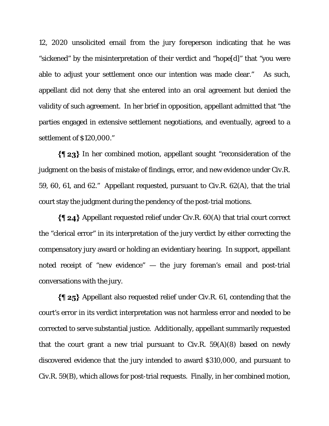12, 2020 unsolicited email from the jury foreperson indicating that he was "sickened" by the misinterpretation of their verdict and "hope[d]" that "you were able to adjust your settlement once our intention was made clear." As such, appellant did not deny that she entered into an oral agreement but denied the validity of such agreement. In her brief in opposition, appellant admitted that "the parties engaged in extensive settlement negotiations, and eventually, agreed to a settlement of \$120,000."

 $\{\P 23\}$  In her combined motion, appellant sought "reconsideration of the judgment on the basis of mistake of findings, error, and new evidence under Civ.R. 59, 60, 61, and 62." Appellant requested, pursuant to Civ.R. 62(A), that the trial court stay the judgment during the pendency of the post-trial motions.

 $\{\P_2, \P_3\}$  Appellant requested relief under Civ.R. 60(A) that trial court correct the "clerical error" in its interpretation of the jury verdict by either correcting the compensatory jury award or holding an evidentiary hearing. In support, appellant noted receipt of "new evidence" — the jury foreman's email and post-trial conversations with the jury.

 $\{\$\,25\}$  Appellant also requested relief under Civ.R. 61, contending that the court's error in its verdict interpretation was not harmless error and needed to be corrected to serve substantial justice. Additionally, appellant summarily requested that the court grant a new trial pursuant to  $Civ.R. 59(A)(8)$  based on newly discovered evidence that the jury intended to award \$310,000, and pursuant to Civ.R. 59(B), which allows for post-trial requests. Finally, in her combined motion,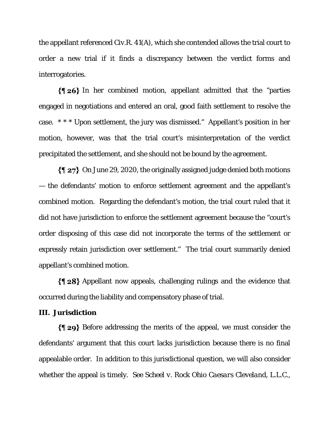the appellant referenced Civ.R. 41(A), which she contended allows the trial court to order a new trial if it finds a discrepancy between the verdict forms and interrogatories.

 $\{\P 26\}$  In her combined motion, appellant admitted that the "parties" engaged in negotiations and entered an oral, good faith settlement to resolve the case. \* \* \* Upon settlement, the jury was dismissed." Appellant's position in her motion, however, was that the trial court's misinterpretation of the verdict precipitated the settlement, and she should not be bound by the agreement.

 $\{\P 27\}$  On June 29, 2020, the originally assigned judge denied both motions — the defendants' motion to enforce settlement agreement and the appellant's combined motion. Regarding the defendant's motion, the trial court ruled that it did not have jurisdiction to enforce the settlement agreement because the "court's order disposing of this case did not incorporate the terms of the settlement or expressly retain jurisdiction over settlement." The trial court summarily denied appellant's combined motion.

Appellant now appeals, challenging rulings and the evidence that occurred during the liability and compensatory phase of trial.

#### **III. Jurisdiction**

Before addressing the merits of the appeal, we must consider the defendants' argument that this court lacks jurisdiction because there is no final appealable order. In addition to this jurisdictional question, we will also consider whether the appeal is timely. *See Scheel v. Rock Ohio Caesars Cleveland, L.L.C.*,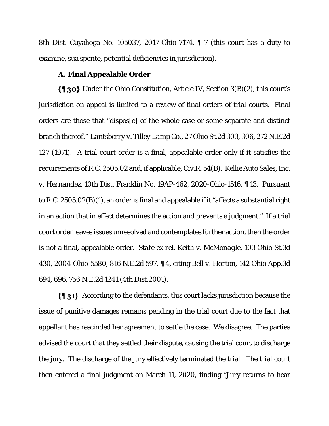8th Dist. Cuyahoga No. 105037, 2017-Ohio-7174, ¶ 7 (this court has a duty to examine, sua sponte, potential deficiencies in jurisdiction).

## **A. Final Appealable Order**

 $\{\P$  30} Under the Ohio Constitution, Article IV, Section 3(B)(2), this court's jurisdiction on appeal is limited to a review of final orders of trial courts. Final orders are those that "dispos[e] of the whole case or some separate and distinct branch thereof." *Lantsberry v. Tilley Lamp Co*., 27 Ohio St.2d 303, 306, 272 N.E.2d 127 (1971). A trial court order is a final, appealable order only if it satisfies the requirements of R.C. 2505.02 and, if applicable, Civ.R. 54(B). *Kellie Auto Sales, Inc. v. Hernandez*, 10th Dist. Franklin No. 19AP-462, 2020-Ohio-1516, ¶ 13. Pursuant to R.C. 2505.02(B)(1), an order is final and appealable if it "affects a substantial right in an action that in effect determines the action and prevents a judgment." If a trial court order leaves issues unresolved and contemplates further action, then the order is not a final, appealable order. *State ex rel. Keith v. McMonagle*, 103 Ohio St.3d 430, 2004-Ohio-5580, 816 N.E.2d 597, ¶ 4, citing *Bell v. Horton*, 142 Ohio App.3d 694, 696, 756 N.E.2d 1241 (4th Dist.2001).

 $\{\P_31\}$  According to the defendants, this court lacks jurisdiction because the issue of punitive damages remains pending in the trial court due to the fact that appellant has rescinded her agreement to settle the case. We disagree. The parties advised the court that they settled their dispute, causing the trial court to discharge the jury. The discharge of the jury effectively terminated the trial. The trial court then entered a final judgment on March 11, 2020, finding "Jury returns to hear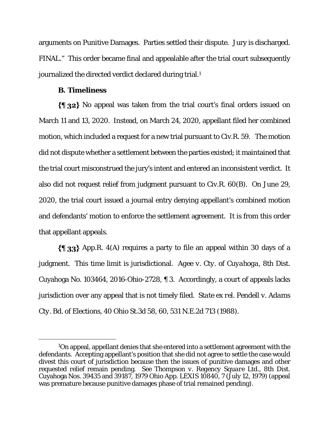arguments on Punitive Damages. Parties settled their dispute. Jury is discharged. FINAL." This order became final and appealable after the trial court subsequently journalized the directed verdict declared during trial.1

#### **B. Timeliness**

No appeal was taken from the trial court's final orders issued on March 11 and 13, 2020. Instead, on March 24, 2020, appellant filed her combined motion, which included a request for a new trial pursuant to Civ.R. 59. The motion did not dispute whether a settlement between the parties existed; it maintained that the trial court misconstrued the jury's intent and entered an inconsistent verdict. It also did not request relief from judgment pursuant to Civ.R. 60(B). On June 29, 2020, the trial court issued a journal entry denying appellant's combined motion and defendants' motion to enforce the settlement agreement. It is from this order that appellant appeals.

 $\{\{\}\$  33} App.R. 4(A) requires a party to file an appeal within 30 days of a judgment. This time limit is jurisdictional. *Agee v. Cty. of Cuyahoga*, 8th Dist. Cuyahoga No. 103464, 2016-Ohio-2728, ¶ 3. Accordingly, a court of appeals lacks jurisdiction over any appeal that is not timely filed. *State ex rel. Pendell v. Adams Cty. Bd. of Elections*, 40 Ohio St.3d 58, 60, 531 N.E.2d 713 (1988).

<sup>&</sup>lt;sup>1</sup>On appeal, appellant denies that she entered into a settlement agreement with the defendants. Accepting appellant's position that she did not agree to settle the case would divest this court of jurisdiction because then the issues of punitive damages and other requested relief remain pending. *See Thompson v. Regency Square Ltd.*, 8th Dist. Cuyahoga Nos. 39435 and 39187, 1979 Ohio App. LEXIS 10840, 7 (July 12, 1979) (appeal was premature because punitive damages phase of trial remained pending).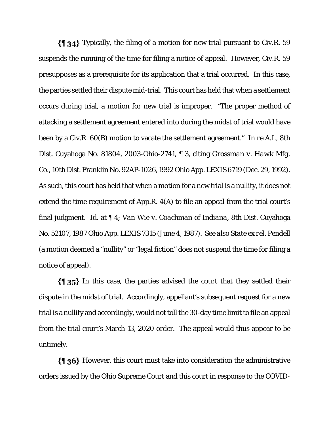$\{\{\}\$  34} Typically, the filing of a motion for new trial pursuant to Civ.R. 59 suspends the running of the time for filing a notice of appeal. However, Civ.R. 59 presupposes as a prerequisite for its application that a trial occurred. In this case, the parties settled their dispute mid-trial. This court has held that when a settlement occurs during trial, a motion for new trial is improper. "The proper method of attacking a settlement agreement entered into during the midst of trial would have been by a Civ.R. 60(B) motion to vacate the settlement agreement." *In re A.I.*, 8th Dist. Cuyahoga No. 81804, 2003-Ohio-2741, ¶ 3, citing *Grossman v. Hawk Mfg. Co*., 10th Dist. Franklin No. 92AP-1026, 1992 Ohio App. LEXIS 6719 (Dec. 29, 1992). As such, this court has held that when a motion for a new trial is a nullity, it does not extend the time requirement of App.R. 4(A) to file an appeal from the trial court's final judgment. *Id*. at ¶ 4; *Van Wie v. Coachman of Indiana*, 8th Dist. Cuyahoga No. 52107, 1987 Ohio App. LEXIS 7315 (June 4, 1987). *See also State ex rel. Pendell* (a motion deemed a "nullity" or "legal fiction" does not suspend the time for filing a notice of appeal).

 $\{\{\}\$  35} In this case, the parties advised the court that they settled their dispute in the midst of trial. Accordingly, appellant's subsequent request for a new trial is a nullity and accordingly, would not toll the 30-day time limit to file an appeal from the trial court's March 13, 2020 order. The appeal would thus appear to be untimely.

 $\{\{\,\}$  36} However, this court must take into consideration the administrative orders issued by the Ohio Supreme Court and this court in response to the COVID-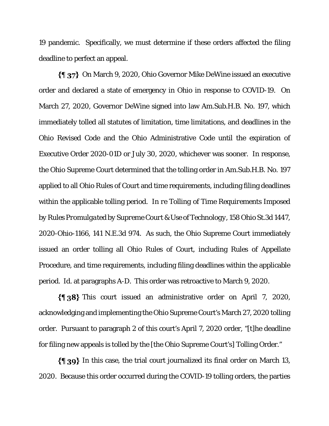19 pandemic. Specifically, we must determine if these orders affected the filing deadline to perfect an appeal.

On March 9, 2020, Ohio Governor Mike DeWine issued an executive order and declared a state of emergency in Ohio in response to COVID-19. On March 27, 2020, Governor DeWine signed into law Am.Sub.H.B. No. 197, which immediately tolled all statutes of limitation, time limitations, and deadlines in the Ohio Revised Code and the Ohio Administrative Code until the expiration of Executive Order 2020-01D or July 30, 2020, whichever was sooner. In response, the Ohio Supreme Court determined that the tolling order in Am.Sub.H.B. No. 197 applied to all Ohio Rules of Court and time requirements, including filing deadlines within the applicable tolling period. *In re Tolling of Time Requirements Imposed by Rules Promulgated by Supreme Court & Use of Technology*, 158 Ohio St.3d 1447, 2020-Ohio-1166, 141 N.E.3d 974. As such, the Ohio Supreme Court immediately issued an order tolling all Ohio Rules of Court, including Rules of Appellate Procedure, and time requirements, including filing deadlines within the applicable period. *Id*. at paragraphs A-D. This order was retroactive to March 9, 2020.

 $\{\$\}$  38} This court issued an administrative order on April 7, 2020, acknowledging and implementing the Ohio Supreme Court's March 27, 2020 tolling order. Pursuant to paragraph 2 of this court's April 7, 2020 order, "[t]he deadline for filing new appeals is tolled by the [the Ohio Supreme Court's] Tolling Order."

In this case, the trial court journalized its final order on March 13, 2020. Because this order occurred during the COVID-19 tolling orders, the parties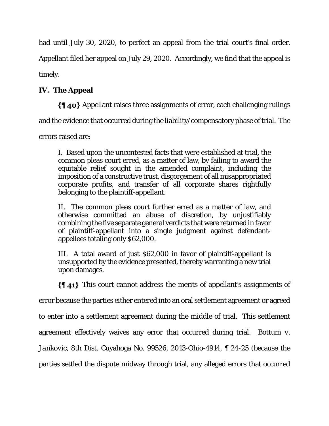had until July 30, 2020, to perfect an appeal from the trial court's final order.

Appellant filed her appeal on July 29, 2020. Accordingly, we find that the appeal is

timely.

# **IV. The Appeal**

Appellant raises three assignments of error, each challenging rulings

and the evidence that occurred during the liability/compensatory phase of trial. The

errors raised are:

I. Based upon the uncontested facts that were established at trial, the common pleas court erred, as a matter of law, by failing to award the equitable relief sought in the amended complaint, including the imposition of a constructive trust, disgorgement of all misappropriated corporate profits, and transfer of all corporate shares rightfully belonging to the plaintiff-appellant.

II. The common pleas court further erred as a matter of law, and otherwise committed an abuse of discretion, by unjustifiably combining the five separate general verdicts that were returned in favor of plaintiff-appellant into a single judgment against defendantappellees totaling only \$62,000.

III. A total award of just \$62,000 in favor of plaintiff-appellant is unsupported by the evidence presented, thereby warranting a new trial upon damages.

 $\{\{\,\,\,\,\,\}\}$  This court cannot address the merits of appellant's assignments of

error because the parties either entered into an oral settlement agreement or agreed

to enter into a settlement agreement during the middle of trial. This settlement

agreement effectively waives any error that occurred during trial. *Bottum v.* 

*Jankovic*, 8th Dist. Cuyahoga No. 99526, 2013-Ohio-4914, ¶ 24-25 (because the

parties settled the dispute midway through trial, any alleged errors that occurred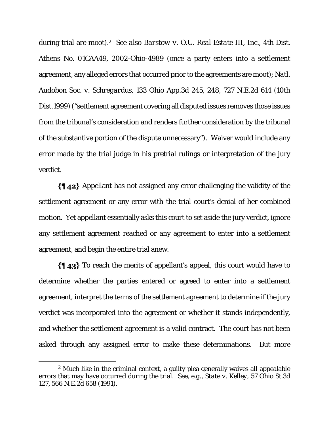during trial are moot).2 *See also Barstow v. O.U. Real Estate III, Inc.*, 4th Dist. Athens No. 01CAA49, 2002-Ohio-4989 (once a party enters into a settlement agreement, any alleged errors that occurred prior to the agreements are moot); *Natl. Audobon Soc. v. Schregardus*, 133 Ohio App.3d 245, 248, 727 N.E.2d 614 (10th Dist.1999) ("settlement agreement covering all disputed issues removes those issues from the tribunal's consideration and renders further consideration by the tribunal of the substantive portion of the dispute unnecessary"). Waiver would include any error made by the trial judge in his pretrial rulings or interpretation of the jury verdict.

 $\{\P_4\}$  Appellant has not assigned any error challenging the validity of the settlement agreement or any error with the trial court's denial of her combined motion. Yet appellant essentially asks this court to set aside the jury verdict, ignore any settlement agreement reached or any agreement to enter into a settlement agreement, and begin the entire trial anew.

 $\{\{\,\,\,\,\,\,\}\}$  To reach the merits of appellant's appeal, this court would have to determine whether the parties entered or agreed to enter into a settlement agreement, interpret the terms of the settlement agreement to determine if the jury verdict was incorporated into the agreement or whether it stands independently, and whether the settlement agreement is a valid contract. The court has not been asked through any assigned error to make these determinations. But more

<sup>2</sup> Much like in the criminal context, a guilty plea generally waives all appealable errors that may have occurred during the trial. *See, e.g., State v. Kelley*, 57 Ohio St.3d 127, 566 N.E.2d 658 (1991).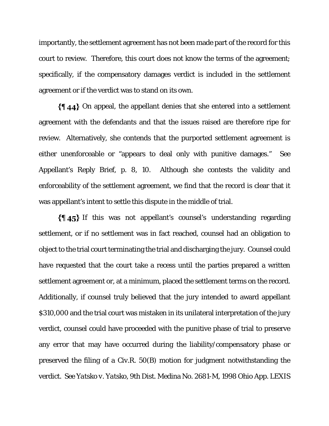importantly, the settlement agreement has not been made part of the record for this court to review. Therefore, this court does not know the terms of the agreement; specifically, if the compensatory damages verdict is included in the settlement agreement or if the verdict was to stand on its own.

 $\{\{\,\,\,\,\,\,\}\$  On appeal, the appellant denies that she entered into a settlement agreement with the defendants and that the issues raised are therefore ripe for review. Alternatively, she contends that the purported settlement agreement is either unenforceable or "appears to deal only with punitive damages." *See* Appellant's Reply Brief, p. 8, 10. Although she contests the validity and enforceability of the settlement agreement, we find that the record is clear that it was appellant's intent to settle this dispute in the middle of trial.

 $\{\{\,\,\,\,\,\}\}$  If this was not appellant's counsel's understanding regarding settlement, or if no settlement was in fact reached, counsel had an obligation to object to the trial court terminating the trial and discharging the jury. Counsel could have requested that the court take a recess until the parties prepared a written settlement agreement or, at a minimum, placed the settlement terms on the record. Additionally, if counsel truly believed that the jury intended to award appellant \$310,000 and the trial court was mistaken in its unilateral interpretation of the jury verdict, counsel could have proceeded with the punitive phase of trial to preserve any error that may have occurred during the liability/compensatory phase or preserved the filing of a Civ.R. 50(B) motion for judgment notwithstanding the verdict. *See Yatsko v. Yatsko*, 9th Dist. Medina No. 2681-M, 1998 Ohio App. LEXIS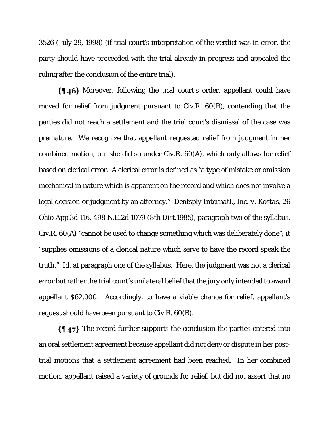3526 (July 29, 1998) (if trial court's interpretation of the verdict was in error, the party should have proceeded with the trial already in progress and appealed the ruling after the conclusion of the entire trial).

Moreover, following the trial court's order, appellant could have moved for relief from judgment pursuant to Civ.R. 60(B), contending that the parties did not reach a settlement and the trial court's dismissal of the case was premature. We recognize that appellant requested relief from judgment in her combined motion, but she did so under Civ.R. 60(A), which only allows for relief based on clerical error. A clerical error is defined as "a type of mistake or omission mechanical in nature which is apparent on the record and which does not involve a legal decision or judgment by an attorney." *Dentsply Internatl., Inc. v. Kostas*, 26 Ohio App.3d 116, 498 N.E.2d 1079 (8th Dist.1985), paragraph two of the syllabus. Civ.R. 60(A) "cannot be used to change something which was deliberately done"; it "supplies omissions of a clerical nature which serve to have the record speak the truth." *Id*. at paragraph one of the syllabus. Here, the judgment was not a clerical error but rather the trial court's unilateral belief that the jury only intended to award appellant \$62,000. Accordingly, to have a viable chance for relief, appellant's request should have been pursuant to Civ.R. 60(B).

 $\{\parallel 47\}$  The record further supports the conclusion the parties entered into an oral settlement agreement because appellant did not deny or dispute in her posttrial motions that a settlement agreement had been reached. In her combined motion, appellant raised a variety of grounds for relief, but did not assert that no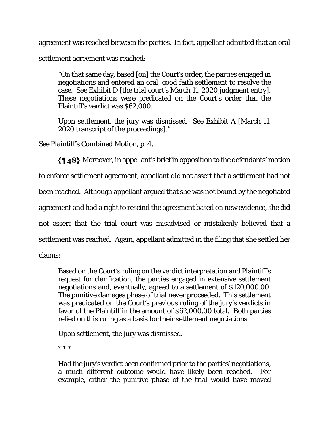agreement was reached between the parties. In fact, appellant admitted that an oral settlement agreement was reached:

"On that same day, based [on] the Court's order, the parties engaged in negotiations and entered an oral, good faith settlement to resolve the case. See Exhibit D [the trial court's March 11, 2020 judgment entry]. These negotiations were predicated on the Court's order that the Plaintiff's verdict was \$62,000.

Upon settlement, the jury was dismissed. See Exhibit A [March 11, 2020 transcript of the proceedings]."

*See* Plaintiff's Combined Motion, p. 4.

Moreover, in appellant's brief in opposition to the defendants' motion to enforce settlement agreement, appellant did not assert that a settlement had not been reached. Although appellant argued that she was not bound by the negotiated agreement and had a right to rescind the agreement based on new evidence, she did not assert that the trial court was misadvised or mistakenly believed that a settlement was reached. Again, appellant admitted in the filing that she settled her claims:

Based on the Court's ruling on the verdict interpretation and Plaintiff's request for clarification, the parties engaged in extensive settlement negotiations and, eventually, agreed to a settlement of \$120,000.00. The punitive damages phase of trial never proceeded. This settlement was predicated on the Court's previous ruling of the jury's verdicts in favor of the Plaintiff in the amount of \$62,000.00 total. Both parties relied on this ruling as a basis for their settlement negotiations.

Upon settlement, the jury was dismissed.

\* \* \*

Had the jury's verdict been confirmed prior to the parties' negotiations, a much different outcome would have likely been reached. For example, either the punitive phase of the trial would have moved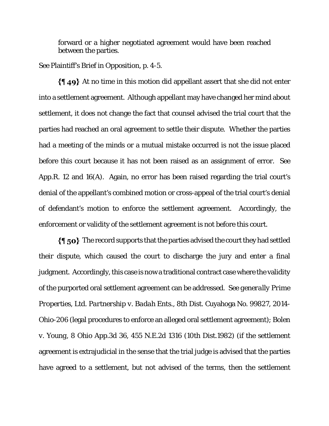forward or a higher negotiated agreement would have been reached between the parties.

*See* Plaintiff's Brief in Opposition, p. 4-5.

 $\{\P 49\}$  At no time in this motion did appellant assert that she did not enter into a settlement agreement. Although appellant may have changed her mind about settlement, it does not change the fact that counsel advised the trial court that the parties had reached an oral agreement to settle their dispute. Whether the parties had a meeting of the minds or a mutual mistake occurred is not the issue placed before this court because it has not been raised as an assignment of error. *See* App.R. 12 and 16(A). Again, no error has been raised regarding the trial court's denial of the appellant's combined motion or cross-appeal of the trial court's denial of defendant's motion to enforce the settlement agreement. Accordingly, the enforcement or validity of the settlement agreement is not before this court.

 $\{\P$  50} The record supports that the parties advised the court they had settled their dispute, which caused the court to discharge the jury and enter a final judgment. Accordingly, this case is now a traditional contract case where the validity of the purported oral settlement agreement can be addressed. *See generally Prime Properties, Ltd. Partnership v. Badah Ents.*, 8th Dist. Cuyahoga No. 99827, 2014- Ohio-206 (legal procedures to enforce an alleged oral settlement agreement); *Bolen v. Young*, 8 Ohio App.3d 36, 455 N.E.2d 1316 (10th Dist.1982) (if the settlement agreement is extrajudicial in the sense that the trial judge is advised that the parties have agreed to a settlement, but not advised of the terms, then the settlement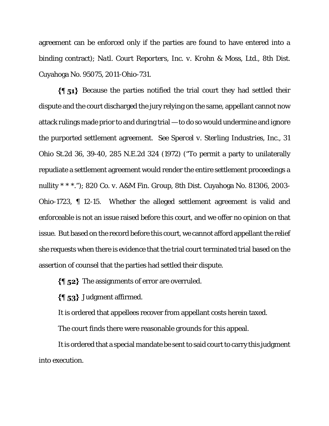agreement can be enforced only if the parties are found to have entered into a binding contract); *Natl. Court Reporters*, *Inc. v. Krohn & Moss, Ltd*., 8th Dist. Cuyahoga No. 95075, 2011-Ohio-731.

 $\{\{\,\,\,\}_{51}\,\}$  Because the parties notified the trial court they had settled their dispute and the court discharged the jury relying on the same, appellant cannot now attack rulings made prior to and during trial — to do so would undermine and ignore the purported settlement agreement. *See Spercel v. Sterling Industries, Inc.*, 31 Ohio St.2d 36, 39-40, 285 N.E.2d 324 (1972) ("To permit a party to unilaterally repudiate a settlement agreement would render the entire settlement proceedings a nullity \* \* \*."); *820 Co. v. A&M Fin. Group*, 8th Dist. Cuyahoga No. 81306, 2003- Ohio-1723, ¶ 12-15. Whether the alleged settlement agreement is valid and enforceable is not an issue raised before this court, and we offer no opinion on that issue. But based on the record before this court, we cannot afford appellant the relief she requests when there is evidence that the trial court terminated trial based on the assertion of counsel that the parties had settled their dispute.

 $\{\$\,52\}$  The assignments of error are overruled.

 $\{\$\,53\}$  Judgment affirmed.

It is ordered that appellees recover from appellant costs herein taxed.

The court finds there were reasonable grounds for this appeal.

It is ordered that a special mandate be sent to said court to carry this judgment into execution.